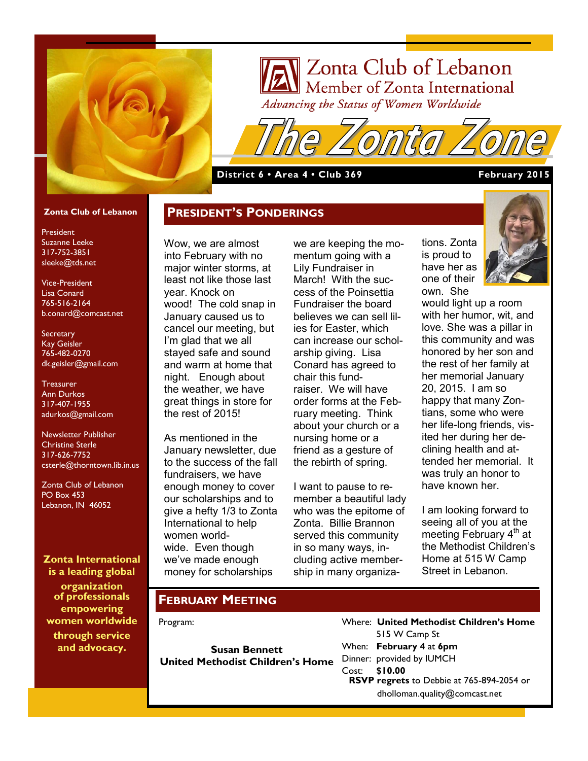

# Zonta Club of Lebanon Member of Zonta International Advancing the Status of Women Worldwide

**District 6 • Area 4 • Club 369 February 2015**

#### **Zonta Club of Lebanon**

President Suzanne Leeke 317-752-3851 sleeke@tds.net

Vice-President Lisa Conard 765-516-2164 b.conard@comcast.net

**Secretary** Kay Geisler 765-482-0270 dk.geisler@gmail.com

**Treasurer** Ann Durkos 317-407-1955 adurkos@gmail.com

Newsletter Publisher Christine Sterle 317-626-7752 csterle@thorntown.lib.in.us

Zonta Club of Lebanon PO Box 453 Lebanon, IN 46052

**Zonta International is a leading global** 

**organization of professionals empowering women worldwide through service and advocacy.**

Wow, we are almost into February with no major winter storms, at least not like those last year. Knock on wood! The cold snap in January caused us to cancel our meeting, but I'm glad that we all stayed safe and sound and warm at home that night. Enough about the weather, we have great things in store for the rest of 2015!

**PRESIDENT'S PONDERINGS**

As mentioned in the January newsletter, due to the success of the fall fundraisers, we have enough money to cover our scholarships and to give a hefty 1/3 to Zonta International to help women worldwide. Even though we've made enough money for scholarships

we are keeping the momentum going with a Lily Fundraiser in March! With the success of the Poinsettia Fundraiser the board believes we can sell lilies for Easter, which can increase our scholarship giving. Lisa Conard has agreed to chair this fundraiser. We will have order forms at the February meeting. Think about your church or a nursing home or a friend as a gesture of the rebirth of spring.

I want to pause to remember a beautiful lady who was the epitome of Zonta. Billie Brannon served this community in so many ways, including active membership in many organizations. Zonta is proud to have her as one of their own. She



would light up a room with her humor, wit, and love. She was a pillar in this community and was honored by her son and the rest of her family at her memorial January 20, 2015. I am so happy that many Zontians, some who were her life-long friends, visited her during her declining health and attended her memorial. It was truly an honor to have known her.

I am looking forward to seeing all of you at the meeting February 4<sup>th</sup> at the Methodist Children's Home at 515 W Camp Street in Lebanon.

#### **FEBRUARY MEETING**

Program:

**Susan Bennett United Methodist Children's Home**  Where: **United Methodist Children's Home** 515 W Camp St When: **February 4** at **6pm** Dinner: provided by IUMCH Cost: **\$10.00 RSVP regrets** to Debbie at 765-894-2054 or dholloman.quality@comcast.net